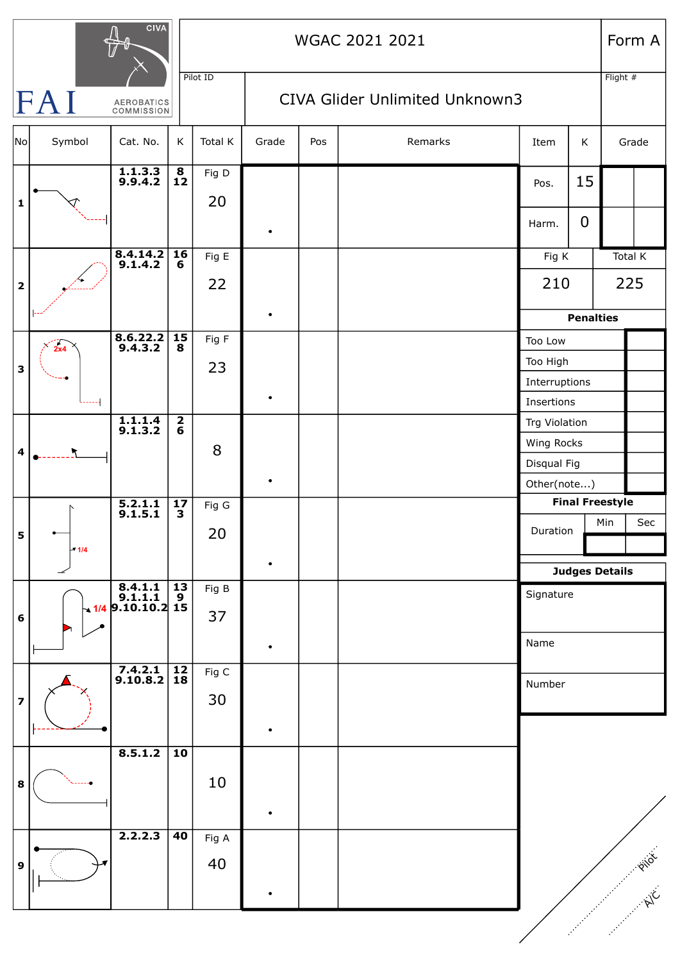| <b>CIVA</b>                                 |        |                                                                                             |                      |             | WGAC 2021 2021                 |     |         |                                   |             | Form A           |         |  |
|---------------------------------------------|--------|---------------------------------------------------------------------------------------------|----------------------|-------------|--------------------------------|-----|---------|-----------------------------------|-------------|------------------|---------|--|
| Pilot ID<br>FAI<br>AEROBATICS<br>COMMISSION |        |                                                                                             |                      |             | CIVA Glider Unlimited Unknown3 |     |         |                                   |             | Flight $#$       |         |  |
| No                                          | Symbol | Cat. No.                                                                                    | К                    | Total K     | Grade                          | Pos | Remarks | Item                              | K           | Grade            |         |  |
| $\mathbf 1$                                 |        | $\overline{1.1.3.3}$<br>9.9.4.2                                                             | $\frac{8}{12}$       | Fig D<br>20 |                                |     |         | Pos.                              | 15          |                  |         |  |
|                                             |        |                                                                                             |                      |             | ٠                              |     |         | Harm.                             | $\mathbf 0$ |                  |         |  |
|                                             |        | 8.4.14.2<br>9.1.4.2                                                                         | 16<br>6              | Fig E       |                                |     |         | Fig K                             |             |                  | Total K |  |
| $\overline{\mathbf{2}}$                     |        |                                                                                             |                      | 22          |                                |     |         | 210                               |             | 225              |         |  |
|                                             |        |                                                                                             |                      |             | $\bullet$                      |     |         |                                   |             | <b>Penalties</b> |         |  |
| 3                                           | 2x4    | $\begin{array}{ c} 8.6.22.2 \\ 9.4.3.2 \end{array}$                                         | $\overline{15}$<br>8 | Fig F       |                                |     |         | Too Low                           |             |                  |         |  |
|                                             |        |                                                                                             |                      | 23          |                                |     |         | Too High                          |             |                  |         |  |
|                                             |        |                                                                                             |                      |             | $\bullet$                      |     |         | Interruptions<br>Insertions       |             |                  |         |  |
|                                             |        | $\overline{1.1.1.4}$<br>9.1.3.2                                                             | $\frac{2}{6}$        |             |                                |     |         | Trg Violation                     |             |                  |         |  |
|                                             |        |                                                                                             |                      |             |                                |     |         | Wing Rocks                        |             |                  |         |  |
| $\overline{\mathbf{4}}$                     |        |                                                                                             |                      | 8           |                                |     |         | Disqual Fig                       |             |                  |         |  |
|                                             |        |                                                                                             |                      |             |                                |     |         | Other(note)                       |             |                  |         |  |
|                                             | $-1/4$ | $5.2.1.1$<br>9.1.5.1                                                                        | 17<br>3              | Fig G       |                                |     |         | <b>Final Freestyle</b>            |             |                  |         |  |
| 5                                           |        |                                                                                             |                      | 20          |                                |     |         | Duration<br><b>Judges Details</b> |             | Min              | Sec     |  |
|                                             |        |                                                                                             |                      |             |                                |     |         |                                   |             |                  |         |  |
|                                             |        |                                                                                             |                      | Fig B       |                                |     |         |                                   |             |                  |         |  |
|                                             |        | $\begin{array}{c c} & 8.4.1.1 & 13 \\ & 9.1.1.1 & 9 \\ \hline & 9.10.10.2 & 15 \end{array}$ |                      |             |                                |     |         | Signature                         |             |                  |         |  |
| 6                                           |        |                                                                                             |                      | 37          |                                |     |         |                                   |             |                  |         |  |
|                                             |        |                                                                                             |                      |             | ٠                              |     |         | Name                              |             |                  |         |  |
|                                             |        | $7.4.2.1$<br>9.10.8.2                                                                       | $\frac{12}{18}$      | Fig C       |                                |     |         | Number                            |             |                  |         |  |
| $\overline{\mathbf{z}}$                     |        |                                                                                             |                      | 30          |                                |     |         |                                   |             |                  |         |  |
|                                             |        |                                                                                             |                      |             | ٠                              |     |         |                                   |             |                  |         |  |
|                                             |        | 8.5.1.2                                                                                     | $\overline{10}$      |             |                                |     |         |                                   |             |                  |         |  |
|                                             |        |                                                                                             |                      |             |                                |     |         |                                   |             |                  |         |  |
| $\bf8$                                      |        |                                                                                             |                      | 10          |                                |     |         |                                   |             |                  |         |  |
|                                             |        |                                                                                             |                      |             | ٠                              |     |         |                                   |             |                  |         |  |
|                                             |        | 2.2.2.3                                                                                     | $\overline{40}$      | Fig A       |                                |     |         |                                   |             |                  |         |  |
| $\boldsymbol{9}$                            |        |                                                                                             |                      | 40          |                                |     |         |                                   |             |                  |         |  |
|                                             |        |                                                                                             |                      |             |                                |     |         |                                   |             |                  |         |  |
|                                             |        |                                                                                             |                      |             |                                |     |         |                                   |             |                  |         |  |
|                                             |        |                                                                                             |                      |             |                                |     |         |                                   |             |                  |         |  |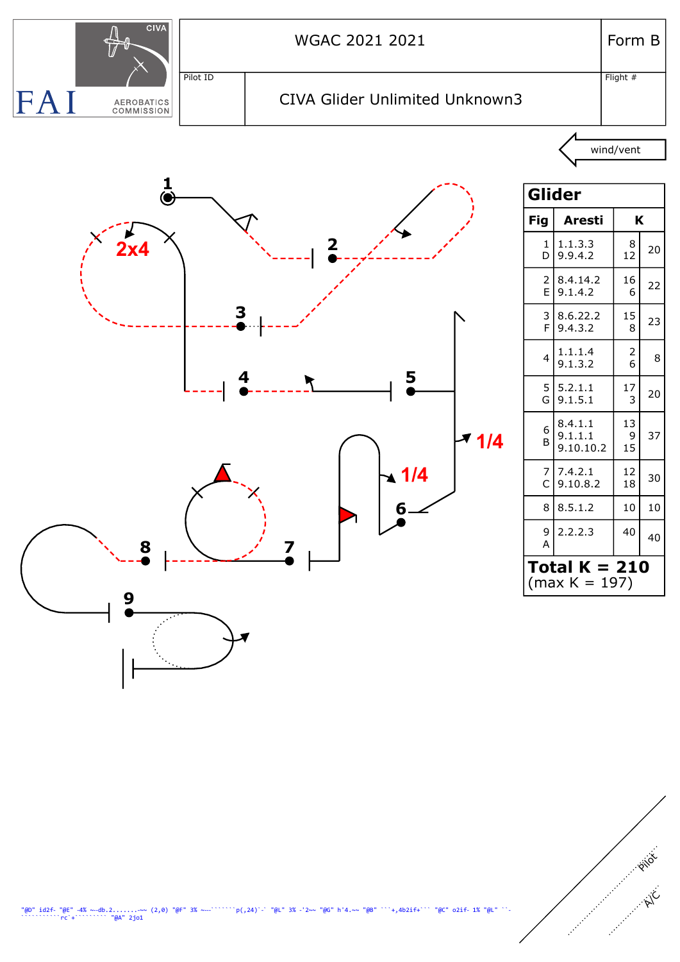

Pilot

A/C